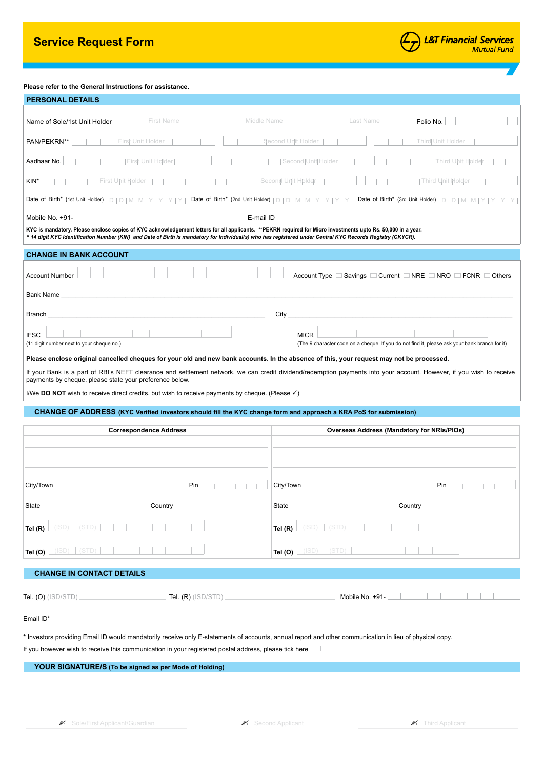# **Service Request Form**

## **Please refer to the General Instructions for assistance.**

| <b>PERSONAL DETAILS</b>                                                                                                                                                                                                                                                                                                    |                                                                                                              |  |  |
|----------------------------------------------------------------------------------------------------------------------------------------------------------------------------------------------------------------------------------------------------------------------------------------------------------------------------|--------------------------------------------------------------------------------------------------------------|--|--|
| Middle Name<br><b>First Name</b><br>Name of Sole/1st Unit Holder                                                                                                                                                                                                                                                           | Last Name<br>Folio No.                                                                                       |  |  |
| PAN/PEKRN**<br>First Unit Holder                                                                                                                                                                                                                                                                                           | Second Unit Holder<br>Third Unit Holder                                                                      |  |  |
| Aadhaar No.<br>First Unit Holder                                                                                                                                                                                                                                                                                           | Sedond   Unit   Holder<br>Third Unit Holde                                                                   |  |  |
| KIN*<br>First Uhit Holder                                                                                                                                                                                                                                                                                                  | Second Unit Holder<br>Third Unit Holder                                                                      |  |  |
| Date of Birth* (1st Unit Holder)   D   D   M   M   Y   Y   Y   Y  <br>Date of Birth* (2nd Unit Holder) $ D D M M Y Y Y Y$                                                                                                                                                                                                  | Date of Birth* (3rd Unit Holder)   D   D   M   M                                                             |  |  |
| E-mail ID<br>Mobile No. +91-                                                                                                                                                                                                                                                                                               |                                                                                                              |  |  |
| KYC is mandatory. Please enclose copies of KYC acknowledgement letters for all applicants. **PEKRN required for Micro investments upto Rs. 50,000 in a year.<br>^ 14 digit KYC Identification Number (KIN) and Date of Birth is mandatory for Individual(s) who has registered under Central KYC Records Registry (CKYCR). |                                                                                                              |  |  |
| <b>CHANGE IN BANK ACCOUNT</b>                                                                                                                                                                                                                                                                                              |                                                                                                              |  |  |
| <b>Account Number</b>                                                                                                                                                                                                                                                                                                      | Account Type □ Savings □ Current □ NRE □ NRO □ FCNR □ Others                                                 |  |  |
| <b>Bank Name</b>                                                                                                                                                                                                                                                                                                           |                                                                                                              |  |  |
| <b>Branch</b>                                                                                                                                                                                                                                                                                                              | City                                                                                                         |  |  |
| <b>IFSC</b><br>(11 digit number next to your cheque no.)                                                                                                                                                                                                                                                                   | <b>MICR</b><br>(The 9 character code on a cheque. If you do not find it, please ask your bank branch for it) |  |  |
| Please enclose original cancelled cheques for your old and new bank accounts. In the absence of this, your request may not be processed.                                                                                                                                                                                   |                                                                                                              |  |  |
| If your Bank is a part of RBI's NEFT clearance and settlement network, we can credit dividend/redemption payments into your account. However, if you wish to receive<br>payments by cheque, please state your preference below.                                                                                            |                                                                                                              |  |  |
| I/We DO NOT wish to receive direct credits, but wish to receive payments by cheque. (Please $\checkmark$ )                                                                                                                                                                                                                 |                                                                                                              |  |  |
|                                                                                                                                                                                                                                                                                                                            |                                                                                                              |  |  |
| CHANGE OF ADDRESS (KYC Verified investors should fill the KYC change form and approach a KRA PoS for submission)                                                                                                                                                                                                           |                                                                                                              |  |  |
| <b>Correspondence Address</b>                                                                                                                                                                                                                                                                                              | <b>Overseas Address (Mandatory for NRIs/PIOs)</b>                                                            |  |  |
|                                                                                                                                                                                                                                                                                                                            |                                                                                                              |  |  |
|                                                                                                                                                                                                                                                                                                                            |                                                                                                              |  |  |
| Pin<br>City/Town                                                                                                                                                                                                                                                                                                           | City/Town<br>Pin                                                                                             |  |  |
| State<br>Country                                                                                                                                                                                                                                                                                                           | State<br>Country                                                                                             |  |  |
| (ISD)<br>(STD<br>Tel (R)                                                                                                                                                                                                                                                                                                   | Tel $(R)$                                                                                                    |  |  |
| $(SD)$ $(STD)$<br>Tel (O)                                                                                                                                                                                                                                                                                                  | $(ISD)$ $(STD)$<br>Tel (O)                                                                                   |  |  |
| <b>CHANGE IN CONTACT DETAILS</b>                                                                                                                                                                                                                                                                                           |                                                                                                              |  |  |
| Tel. (O) (ISD/STD).<br>Tel. $(R)$ (ISD/STD)                                                                                                                                                                                                                                                                                | Mobile No. +91-                                                                                              |  |  |
| Email ID*                                                                                                                                                                                                                                                                                                                  |                                                                                                              |  |  |
| * Investors providing Email ID would mandatorily receive only E-statements of accounts, annual report and other communication in lieu of physical copy.                                                                                                                                                                    |                                                                                                              |  |  |
| If you however wish to receive this communication in your registered postal address, please tick here                                                                                                                                                                                                                      |                                                                                                              |  |  |
| YOUR SIGNATURE/S (To be signed as per Mode of Holding)                                                                                                                                                                                                                                                                     |                                                                                                              |  |  |